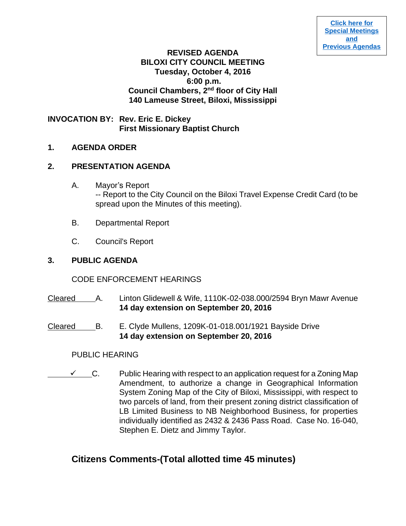# **REVISED AGENDA BILOXI CITY COUNCIL MEETING Tuesday, October 4, 2016 6:00 p.m. Council Chambers, 2nd floor of City Hall 140 Lameuse Street, Biloxi, Mississippi**

**INVOCATION BY: Rev. Eric E. Dickey First Missionary Baptist Church** 

# **1. AGENDA ORDER**

# **2. PRESENTATION AGENDA**

- A. Mayor's Report -- Report to the City Council on the Biloxi Travel Expense Credit Card (to be spread upon the Minutes of this meeting).
- B. Departmental Report
- C. Council's Report

# **3. PUBLIC AGENDA**

# CODE ENFORCEMENT HEARINGS

- Cleared A. Linton Glidewell & Wife, 1110K-02-038.000/2594 Bryn Mawr Avenue **14 day extension on September 20, 2016**
- Cleared B. E. Clyde Mullens, 1209K-01-018.001/1921 Bayside Drive **14 day extension on September 20, 2016**

# PUBLIC HEARING

 $\checkmark$  C. Public Hearing with respect to an application request for a Zoning Map Amendment, to authorize a change in Geographical Information System Zoning Map of the City of Biloxi, Mississippi, with respect to two parcels of land, from their present zoning district classification of LB Limited Business to NB Neighborhood Business, for properties individually identified as 2432 & 2436 Pass Road. Case No. 16-040, Stephen E. Dietz and Jimmy Taylor.

# **Citizens Comments-(Total allotted time 45 minutes)**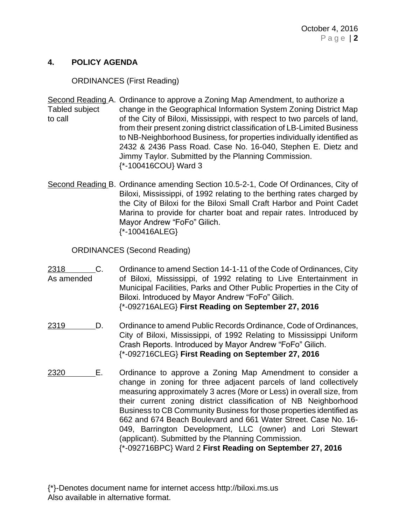### **4. POLICY AGENDA**

### ORDINANCES (First Reading)

Second Reading A. Ordinance to approve a Zoning Map Amendment, to authorize a Tabled subject change in the Geographical Information System Zoning District Map to call of the City of Biloxi, Mississippi, with respect to two parcels of land, from their present zoning district classification of LB-Limited Business to NB-Neighborhood Business, for properties individually identified as 2432 & 2436 Pass Road. Case No. 16-040, Stephen E. Dietz and Jimmy Taylor. Submitted by the Planning Commission. {\*-100416COU} Ward 3

Second Reading B. Ordinance amending Section 10.5-2-1, Code Of Ordinances, City of Biloxi, Mississippi, of 1992 relating to the berthing rates charged by the City of Biloxi for the Biloxi Small Craft Harbor and Point Cadet Marina to provide for charter boat and repair rates. Introduced by Mayor Andrew "FoFo" Gilich. {\*-100416ALEG}

ORDINANCES (Second Reading)

- 2318 C. Ordinance to amend Section 14-1-11 of the Code of Ordinances, City As amended of Biloxi, Mississippi, of 1992 relating to Live Entertainment in Municipal Facilities, Parks and Other Public Properties in the City of Biloxi. Introduced by Mayor Andrew "FoFo" Gilich. {\*-092716ALEG} **First Reading on September 27, 2016**
- 2319 D. Ordinance to amend Public Records Ordinance, Code of Ordinances, City of Biloxi, Mississippi, of 1992 Relating to Mississippi Uniform Crash Reports. Introduced by Mayor Andrew "FoFo" Gilich. {\*-092716CLEG} **First Reading on September 27, 2016**
- 2320 E. Ordinance to approve a Zoning Map Amendment to consider a change in zoning for three adjacent parcels of land collectively measuring approximately 3 acres (More or Less) in overall size, from their current zoning district classification of NB Neighborhood Business to CB Community Business for those properties identified as 662 and 674 Beach Boulevard and 661 Water Street. Case No. 16- 049, Barrington Development, LLC (owner) and Lori Stewart (applicant). Submitted by the Planning Commission. {\*-092716BPC} Ward 2 **First Reading on September 27, 2016**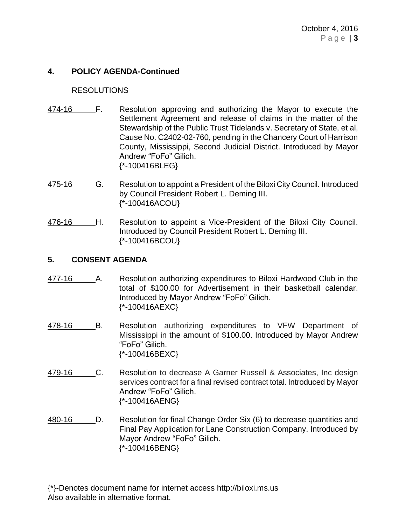# **4. POLICY AGENDA-Continued**

#### RESOLUTIONS

- 474-16 F. Resolution approving and authorizing the Mayor to execute the Settlement Agreement and release of claims in the matter of the Stewardship of the Public Trust Tidelands v. Secretary of State, et al, Cause No. C2402-02-760, pending in the Chancery Court of Harrison County, Mississippi, Second Judicial District. Introduced by Mayor Andrew "FoFo" Gilich. {\*-100416BLEG}
- 475-16 G. Resolution to appoint a President of the Biloxi City Council. Introduced by Council President Robert L. Deming III. {\*-100416ACOU}
- 476-16 H. Resolution to appoint a Vice-President of the Biloxi City Council. Introduced by Council President Robert L. Deming III. {\*-100416BCOU}

#### **5. CONSENT AGENDA**

- 477-16 A. Resolution authorizing expenditures to Biloxi Hardwood Club in the total of \$100.00 for Advertisement in their basketball calendar. Introduced by Mayor Andrew "FoFo" Gilich. {\*-100416AEXC}
- 478-16 B. Resolution authorizing expenditures to VFW Department of Mississippi in the amount of \$100.00. Introduced by Mayor Andrew "FoFo" Gilich. {\*-100416BEXC}
- 479-16 C. Resolution to decrease A Garner Russell & Associates, Inc design services contract for a final revised contract total. Introduced by Mayor Andrew "FoFo" Gilich. {\*-100416AENG}
- 480-16 D. Resolution for final Change Order Six (6) to decrease quantities and Final Pay Application for Lane Construction Company. Introduced by Mayor Andrew "FoFo" Gilich. {\*-100416BENG}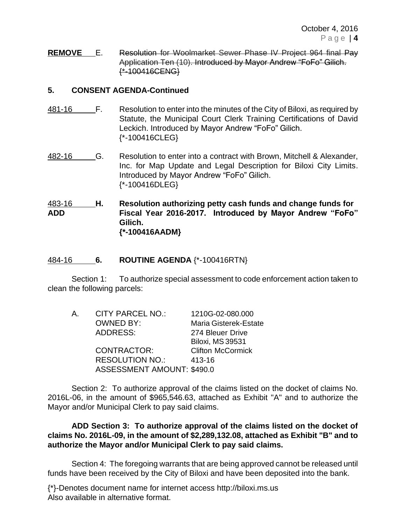**REMOVE** E. Resolution for Woolmarket Sewer Phase IV Project 964 final Pay Application Ten (10). Introduced by Mayor Andrew "FoFo" Gilich. {\*-100416CENG}

# **5. CONSENT AGENDA-Continued**

- 481-16 F. Resolution to enter into the minutes of the City of Biloxi, as required by Statute, the Municipal Court Clerk Training Certifications of David Leckich. Introduced by Mayor Andrew "FoFo" Gilich. {\*-100416CLEG}
- 482-16 G. Resolution to enter into a contract with Brown, Mitchell & Alexander, Inc. for Map Update and Legal Description for Biloxi City Limits. Introduced by Mayor Andrew "FoFo" Gilich. {\*-100416DLEG}

483-16 **H. Resolution authorizing petty cash funds and change funds for ADD Fiscal Year 2016-2017. Introduced by Mayor Andrew "FoFo" Gilich. {\*-100416AADM}**

# 484-16 **6. ROUTINE AGENDA** {\*-100416RTN}

Section 1: To authorize special assessment to code enforcement action taken to clean the following parcels:

| Α. | CITY PARCEL NO.:                  | 1210G-02-080.000         |
|----|-----------------------------------|--------------------------|
|    | <b>OWNED BY:</b>                  | Maria Gisterek-Estate    |
|    | <b>ADDRESS:</b>                   | 274 Bleuer Drive         |
|    |                                   | <b>Biloxi, MS 39531</b>  |
|    | CONTRACTOR:                       | <b>Clifton McCormick</b> |
|    | <b>RESOLUTION NO.:</b>            | 413-16                   |
|    | <b>ASSESSMENT AMOUNT: \$490.0</b> |                          |

Section 2: To authorize approval of the claims listed on the docket of claims No. 2016L-06, in the amount of \$965,546.63, attached as Exhibit "A" and to authorize the Mayor and/or Municipal Clerk to pay said claims.

**ADD Section 3: To authorize approval of the claims listed on the docket of claims No. 2016L-09, in the amount of \$2,289,132.08, attached as Exhibit "B" and to authorize the Mayor and/or Municipal Clerk to pay said claims.**

Section 4: The foregoing warrants that are being approved cannot be released until funds have been received by the City of Biloxi and have been deposited into the bank.